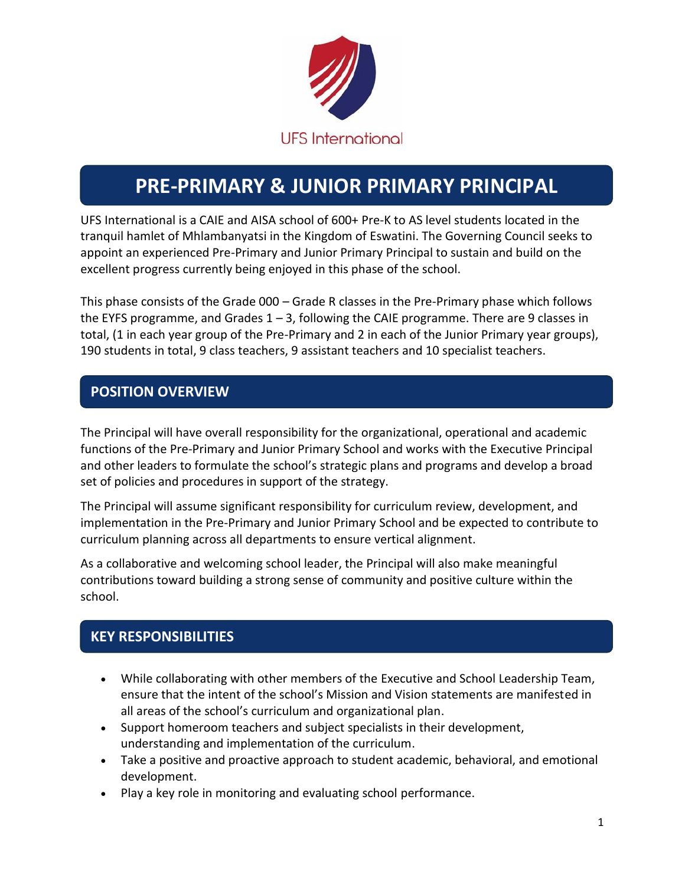

# **PRE-PRIMARY & JUNIOR PRIMARY PRINCIPAL**

UFS International is a CAIE and AISA school of 600+ Pre-K to AS level students located in the tranquil hamlet of Mhlambanyatsi in the Kingdom of Eswatini. The Governing Council seeks to appoint an experienced Pre-Primary and Junior Primary Principal to sustain and build on the excellent progress currently being enjoyed in this phase of the school.

This phase consists of the Grade 000 – Grade R classes in the Pre-Primary phase which follows the EYFS programme, and Grades 1 – 3, following the CAIE programme. There are 9 classes in total, (1 in each year group of the Pre-Primary and 2 in each of the Junior Primary year groups), 190 students in total, 9 class teachers, 9 assistant teachers and 10 specialist teachers.

## **POSITION OVERVIEW**

The Principal will have overall responsibility for the organizational, operational and academic functions of the Pre-Primary and Junior Primary School and works with the Executive Principal and other leaders to formulate the school's strategic plans and programs and develop a broad set of policies and procedures in support of the strategy.

The Principal will assume significant responsibility for curriculum review, development, and implementation in the Pre-Primary and Junior Primary School and be expected to contribute to curriculum planning across all departments to ensure vertical alignment.

As a collaborative and welcoming school leader, the Principal will also make meaningful contributions toward building a strong sense of community and positive culture within the school.

## **KEY RESPONSIBILITIES**

- While collaborating with other members of the Executive and School Leadership Team, ensure that the intent of the school's Mission and Vision statements are manifested in all areas of the school's curriculum and organizational plan.
- Support homeroom teachers and subject specialists in their development, understanding and implementation of the curriculum.
- Take a positive and proactive approach to student academic, behavioral, and emotional development.
- Play a key role in monitoring and evaluating school performance.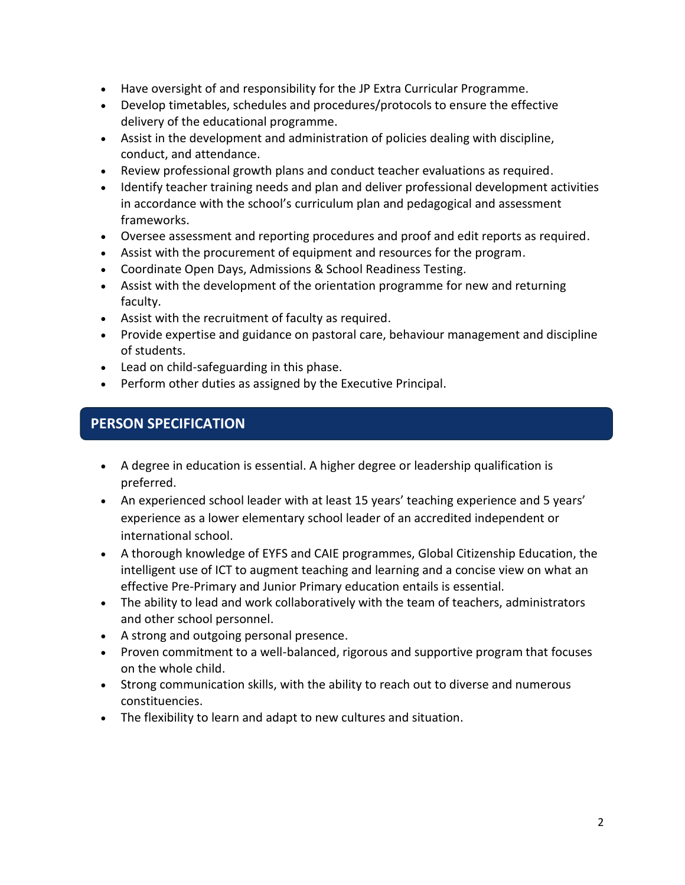- Have oversight of and responsibility for the JP Extra Curricular Programme.
- Develop timetables, schedules and procedures/protocols to ensure the effective delivery of the educational programme.
- Assist in the development and administration of policies dealing with discipline, conduct, and attendance.
- Review professional growth plans and conduct teacher evaluations as required.
- Identify teacher training needs and plan and deliver professional development activities in accordance with the school's curriculum plan and pedagogical and assessment frameworks.
- Oversee assessment and reporting procedures and proof and edit reports as required.
- Assist with the procurement of equipment and resources for the program.
- Coordinate Open Days, Admissions & School Readiness Testing.
- Assist with the development of the orientation programme for new and returning faculty.
- Assist with the recruitment of faculty as required.
- Provide expertise and guidance on pastoral care, behaviour management and discipline of students.
- Lead on child-safeguarding in this phase.
- Perform other duties as assigned by the Executive Principal.

#### **PERSON SPECIFICATION**

- A degree in education is essential. A higher degree or leadership qualification is preferred.
- An experienced school leader with at least 15 years' teaching experience and 5 years' experience as a lower elementary school leader of an accredited independent or international school.
- A thorough knowledge of EYFS and CAIE programmes, Global Citizenship Education, the intelligent use of ICT to augment teaching and learning and a concise view on what an effective Pre-Primary and Junior Primary education entails is essential.
- The ability to lead and work collaboratively with the team of teachers, administrators and other school personnel.
- A strong and outgoing personal presence.
- Proven commitment to a well-balanced, rigorous and supportive program that focuses on the whole child.
- Strong communication skills, with the ability to reach out to diverse and numerous constituencies.
- The flexibility to learn and adapt to new cultures and situation.